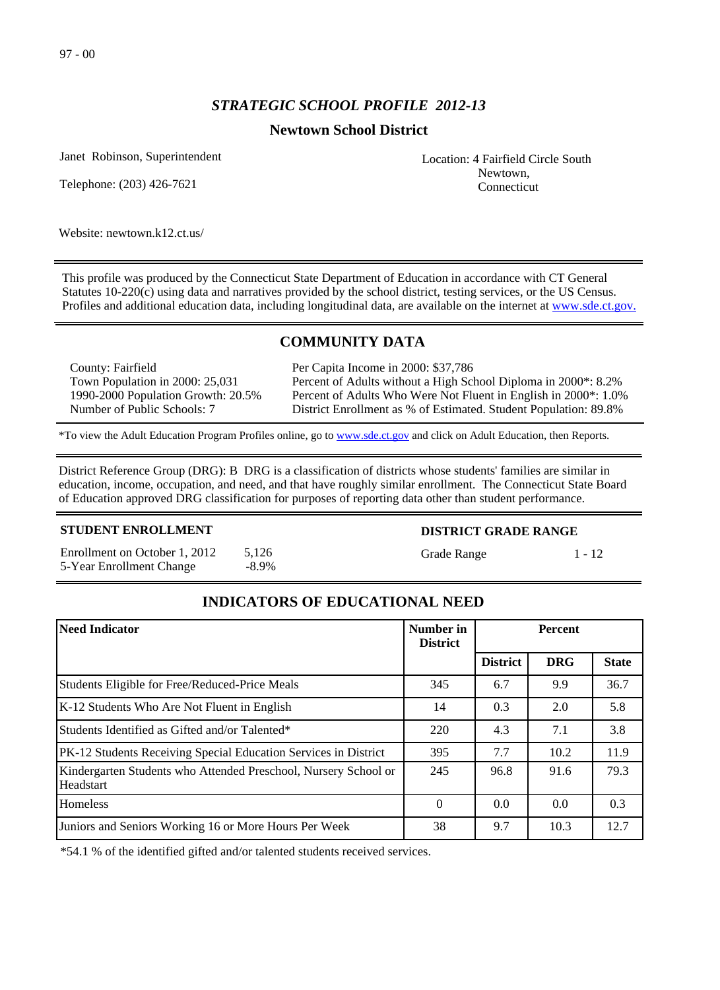# *STRATEGIC SCHOOL PROFILE 2012-13*

## **Newtown School District**

Janet Robinson, Superintendent

Telephone: (203) 426-7621

Website: newtown.k12.ct.us/

This profile was produced by the Connecticut State Department of Education in accordance with CT General Statutes 10-220(c) using data and narratives provided by the school district, testing services, or the US Census. Profiles and additional education data, including longitudinal data, are available on the internet at [www.sde.ct.gov.](http://www.sde.ct.gov/)

# **COMMUNITY DATA**

County: Fairfield Town Population in 2000: 25,031 1990-2000 Population Growth: 20.5% Number of Public Schools: 7

Per Capita Income in 2000: \$37,786 Percent of Adults without a High School Diploma in 2000\*: 8.2% Percent of Adults Who Were Not Fluent in English in 2000\*: 1.0% District Enrollment as % of Estimated. Student Population: 89.8%

\*To view the Adult Education Program Profiles online, go to [www.sde.ct.gov](http://www.sde.ct.gov/) and click on Adult Education, then Reports.

District Reference Group (DRG): B DRG is a classification of districts whose students' families are similar in education, income, occupation, and need, and that have roughly similar enrollment. The Connecticut State Board of Education approved DRG classification for purposes of reporting data other than student performance.

#### **STUDENT ENROLLMENT**

Enrollment on October 1, 2012 5,126 5-Year Enrollment Change -8.9%

### **DISTRICT GRADE RANGE**

Grade Range 1 - 12

**INDICATORS OF EDUCATIONAL NEED**

| Need Indicator                                                                      | Number in<br><b>District</b> | <b>Percent</b>  |            |              |
|-------------------------------------------------------------------------------------|------------------------------|-----------------|------------|--------------|
|                                                                                     |                              | <b>District</b> | <b>DRG</b> | <b>State</b> |
| Students Eligible for Free/Reduced-Price Meals                                      | 345                          | 6.7             | 9.9        | 36.7         |
| K-12 Students Who Are Not Fluent in English                                         | 14                           | 0.3             | 2.0        | 5.8          |
| Students Identified as Gifted and/or Talented*                                      | 220                          | 4.3             | 7.1        | 3.8          |
| <b>PK-12 Students Receiving Special Education Services in District</b>              | 395                          | 7.7             | 10.2       | 11.9         |
| Kindergarten Students who Attended Preschool, Nursery School or<br><b>Headstart</b> | 245                          | 96.8            | 91.6       | 79.3         |
| <b>Homeless</b>                                                                     | $\Omega$                     | 0.0             | 0.0        | 0.3          |
| Juniors and Seniors Working 16 or More Hours Per Week                               | 38                           | 9.7             | 10.3       | 12.7         |

\*54.1 % of the identified gifted and/or talented students received services.

Location: 4 Fairfield Circle South Newtown, Connecticut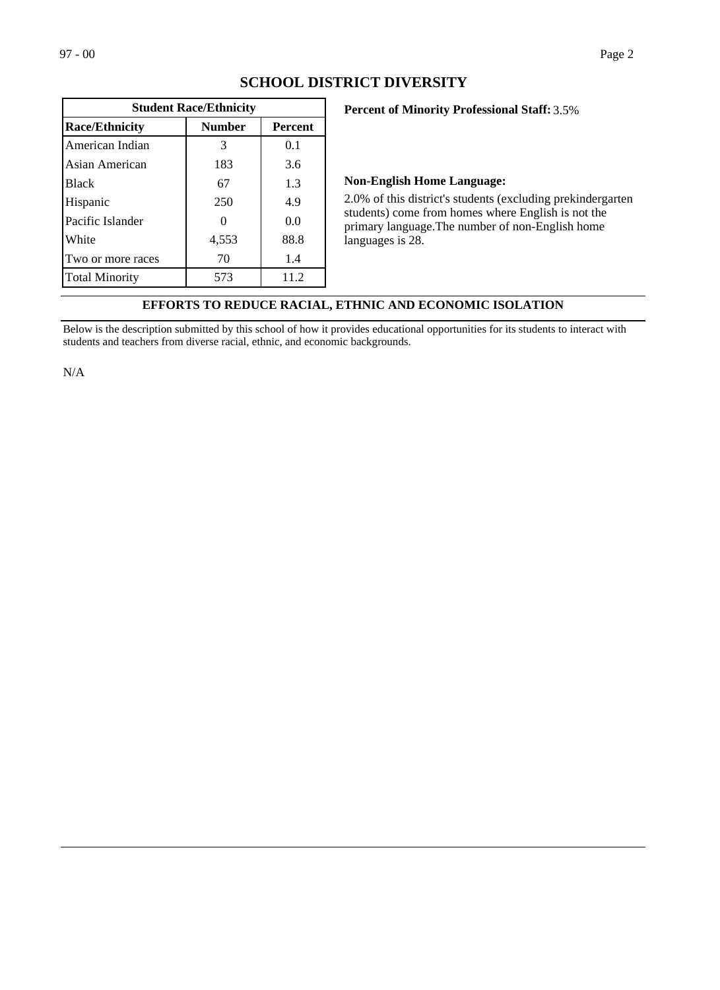| <b>Student Race/Ethnicity</b> |                |      |  |  |
|-------------------------------|----------------|------|--|--|
| <b>Race/Ethnicity</b>         | <b>Percent</b> |      |  |  |
| American Indian               | 3              | 0.1  |  |  |
| Asian American                | 183            | 3.6  |  |  |
| <b>Black</b>                  | 67             | 1.3  |  |  |
| Hispanic                      | 250            | 4.9  |  |  |
| Pacific Islander              |                | 0.0  |  |  |
| White                         | 4,553          | 88.8 |  |  |
| Two or more races             | 70             | 1.4  |  |  |
| <b>Total Minority</b>         | 573            | 11.2 |  |  |

## **SCHOOL DISTRICT DIVERSITY**

#### **Percent of Minority Professional Staff:** 3.5%

#### **Non-English Home Language:**

2.0% of this district's students (excluding prekindergarten students) come from homes where English is not the primary language.The number of non-English home languages is 28.

# **EFFORTS TO REDUCE RACIAL, ETHNIC AND ECONOMIC ISOLATION**

Below is the description submitted by this school of how it provides educational opportunities for its students to interact with students and teachers from diverse racial, ethnic, and economic backgrounds.

N/A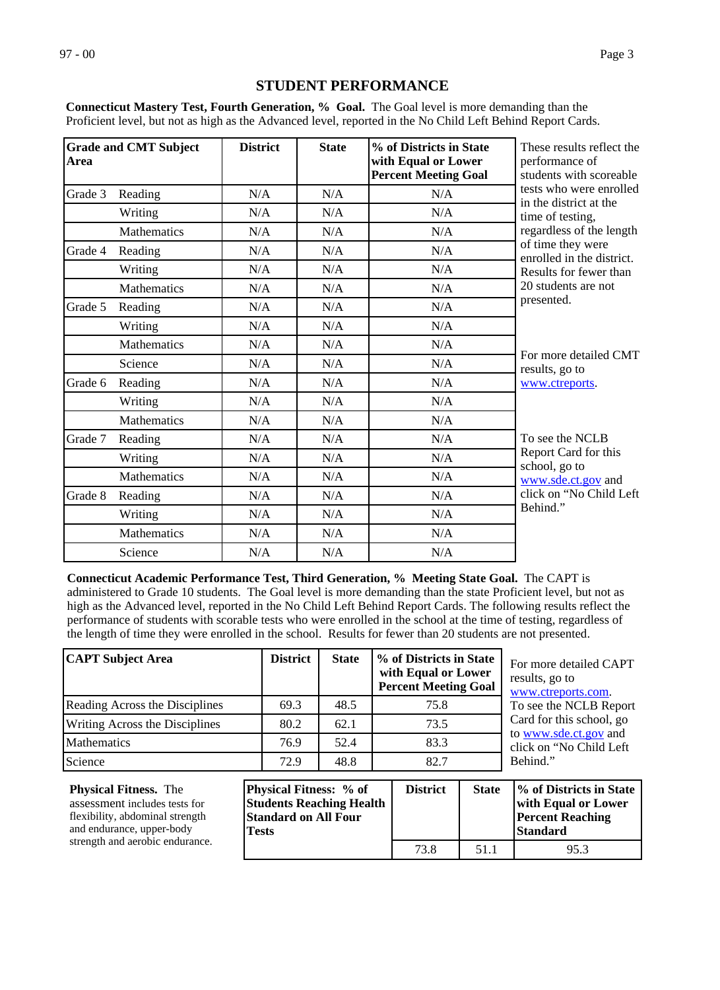# **STUDENT PERFORMANCE**

**Connecticut Mastery Test, Fourth Generation, % Goal.** The Goal level is more demanding than the Proficient level, but not as high as the Advanced level, reported in the No Child Left Behind Report Cards.

| Area    | <b>Grade and CMT Subject</b> | <b>District</b> | <b>State</b> | % of Districts in State<br>with Equal or Lower<br><b>Percent Meeting Goal</b> | These results reflect the<br>performance of<br>students with scoreable |
|---------|------------------------------|-----------------|--------------|-------------------------------------------------------------------------------|------------------------------------------------------------------------|
| Grade 3 | Reading                      | N/A             | N/A          | N/A                                                                           | tests who were enrolled<br>in the district at the                      |
|         | Writing                      | N/A             | N/A          | N/A                                                                           | time of testing,                                                       |
|         | Mathematics                  | N/A             | N/A          | N/A                                                                           | regardless of the length                                               |
| Grade 4 | Reading                      | N/A             | N/A          | N/A                                                                           | of time they were<br>enrolled in the district.                         |
|         | Writing                      | N/A             | N/A          | N/A                                                                           | Results for fewer than                                                 |
|         | <b>Mathematics</b>           | N/A             | N/A          | N/A                                                                           | 20 students are not                                                    |
| Grade 5 | Reading                      | N/A             | N/A          | N/A                                                                           | presented.                                                             |
|         | Writing                      | N/A             | N/A          | N/A                                                                           |                                                                        |
|         | <b>Mathematics</b>           | N/A             | N/A          | N/A                                                                           |                                                                        |
|         | Science                      | N/A             | N/A          | N/A                                                                           | For more detailed CMT<br>results, go to                                |
| Grade 6 | Reading                      | N/A             | N/A          | N/A                                                                           | www.ctreports.                                                         |
|         | Writing                      | N/A             | N/A          | N/A                                                                           |                                                                        |
|         | Mathematics                  | N/A             | N/A          | N/A                                                                           |                                                                        |
| Grade 7 | Reading                      | N/A             | N/A          | N/A                                                                           | To see the NCLB                                                        |
|         | Writing                      | N/A             | N/A          | N/A                                                                           | Report Card for this<br>school, go to                                  |
|         | Mathematics                  | N/A             | N/A          | N/A                                                                           | www.sde.ct.gov and                                                     |
| Grade 8 | Reading                      | N/A             | N/A          | N/A                                                                           | click on "No Child Left"                                               |
|         | Writing                      | N/A             | N/A          | N/A                                                                           | Behind."                                                               |
|         | <b>Mathematics</b>           | N/A             | N/A          | N/A                                                                           |                                                                        |
|         | Science                      | N/A             | N/A          | N/A                                                                           |                                                                        |

**Connecticut Academic Performance Test, Third Generation, % Meeting State Goal.** The CAPT is administered to Grade 10 students. The Goal level is more demanding than the state Proficient level, but not as high as the Advanced level, reported in the No Child Left Behind Report Cards. The following results reflect the performance of students with scorable tests who were enrolled in the school at the time of testing, regardless of the length of time they were enrolled in the school. Results for fewer than 20 students are not presented.

| <b>CAPT Subject Area</b>       | <b>District</b> | <b>State</b> | % of Districts in State<br>with Equal or Lower<br><b>Percent Meeting Goal</b> |
|--------------------------------|-----------------|--------------|-------------------------------------------------------------------------------|
| Reading Across the Disciplines | 69.3            | 48.5         | 75.8                                                                          |
| Writing Across the Disciplines | 80.2            | 62.1         | 73.5                                                                          |
| <b>Mathematics</b>             | 76.9            | 52.4         | 83.3                                                                          |
| Science                        | 72.9            | 48.8         | 82.7                                                                          |

For more detailed CAPT results, go to [www.ctreports.com](http://www.ctreports.com/). To see the NCLB Report Card for this school, go to [www.sde.ct.gov](http://www.sde.ct.gov/) and click on "No Child Left Behind."

| <b>Physical Fitness.</b> The<br>assessment includes tests for<br>flexibility, abdominal strength<br>and endurance, upper-body | <b>Physical Fitness:</b> % of<br><b>Students Reaching Health</b><br><b>Standard on All Four</b> | <b>District</b> | <b>State</b> | <i>V</i> <sub>o</sub> of Districts in State<br>with Equal or Lower<br><b>Percent Reaching</b> |
|-------------------------------------------------------------------------------------------------------------------------------|-------------------------------------------------------------------------------------------------|-----------------|--------------|-----------------------------------------------------------------------------------------------|
|                                                                                                                               | <b>Tests</b>                                                                                    |                 |              | <b>Standard</b>                                                                               |
| strength and aerobic endurance.                                                                                               |                                                                                                 | 73.8            | 51.1         | 95.3                                                                                          |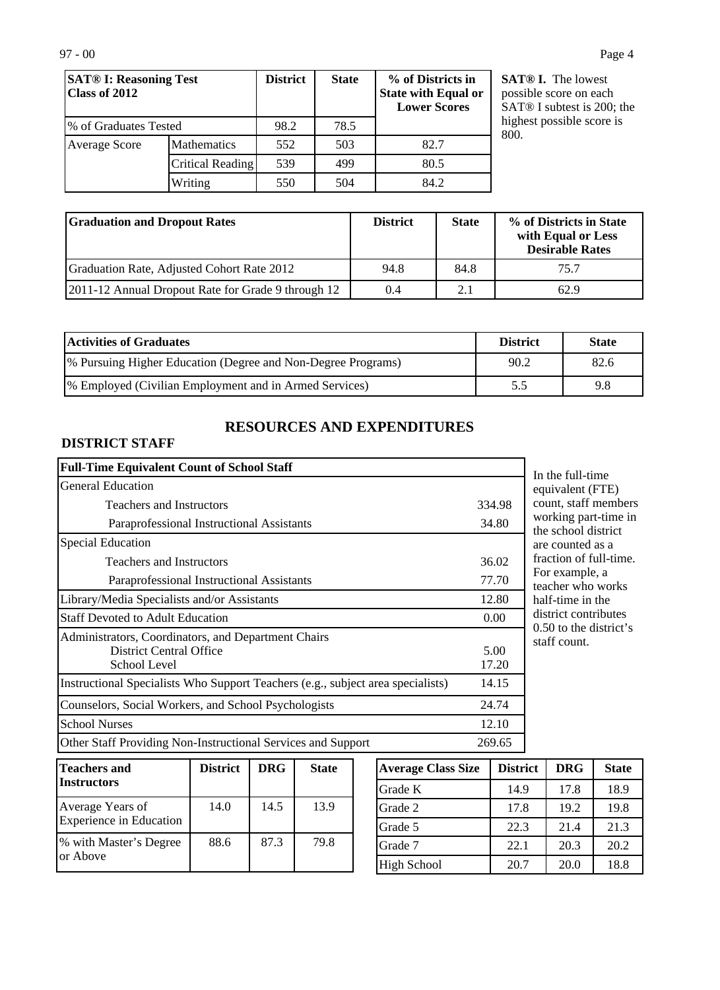| <b>SAT® I: Reasoning Test</b><br>Class of 2012 |                    | <b>District</b> | <b>State</b> | % of Districts in<br><b>State with Equal or</b><br><b>Lower Scores</b> |
|------------------------------------------------|--------------------|-----------------|--------------|------------------------------------------------------------------------|
| % of Graduates Tested                          |                    | 98.2            | 78.5         |                                                                        |
| Average Score                                  | <b>Mathematics</b> | 552             | 503          | 82.7                                                                   |
|                                                | Critical Reading   | 539             | 499          | 80.5                                                                   |
|                                                | Writing            | 550             | 504          | 84.2                                                                   |

**SAT® I.** The lowest possible score on each SAT® I subtest is 200; the highest possible score is 800.

| <b>Straduation and Dropout Rates</b>                 | <b>District</b> | <b>State</b> | % of Districts in State<br>with Equal or Less<br><b>Desirable Rates</b> |
|------------------------------------------------------|-----------------|--------------|-------------------------------------------------------------------------|
| Graduation Rate, Adjusted Cohort Rate 2012           | 94.8            | 84.8         | 75.7                                                                    |
| [2011-12 Annual Dropout Rate for Grade 9 through 12] | 0.4             | 2.1          | 62.9                                                                    |

| <b>Activities of Graduates</b>                                | <b>District</b> | <b>State</b> |
|---------------------------------------------------------------|-----------------|--------------|
| [% Pursuing Higher Education (Degree and Non-Degree Programs) | 90.2            | 82.6         |
| [% Employed (Civilian Employment and in Armed Services)       | 5.5             | 9.8          |

# **RESOURCES AND EXPENDITURES**

# **DISTRICT STAFF**

| 334.98        |
|---------------|
| 34.80         |
|               |
| 36.02         |
| 77.70         |
| 12.80         |
| 0.00          |
| 5.00<br>17.20 |
| 14.15         |
| 24.74         |
| 12.10         |
| 269.65        |
|               |

In the full-time equivalent (FTE) count, staff members working part-time in the school district are counted as a fraction of full-time. For example, a teacher who works half-time in the district contributes 0.50 to the district's staff count.

| Teachers and<br><b>Instructors</b>          | <b>District</b> | <b>DRG</b> | <b>State</b> |
|---------------------------------------------|-----------------|------------|--------------|
| Average Years of<br>Experience in Education | 14.0            | 14.5       | 13.9         |
| % with Master's Degree<br>lor Above         | 88.6            | 87.3       | 79.8         |

| <b>Average Class Size</b> | <b>District</b> | <b>DRG</b> | <b>State</b> |
|---------------------------|-----------------|------------|--------------|
| Grade K                   | 14.9            | 17.8       | 18.9         |
| Grade 2                   | 17.8            | 19.2       | 19.8         |
| Grade 5                   | 22.3            | 21.4       | 21.3         |
| Grade 7                   | 22.1            | 20.3       | 20.2         |
| <b>High School</b>        | 20.7            | 20.0       | 18.8         |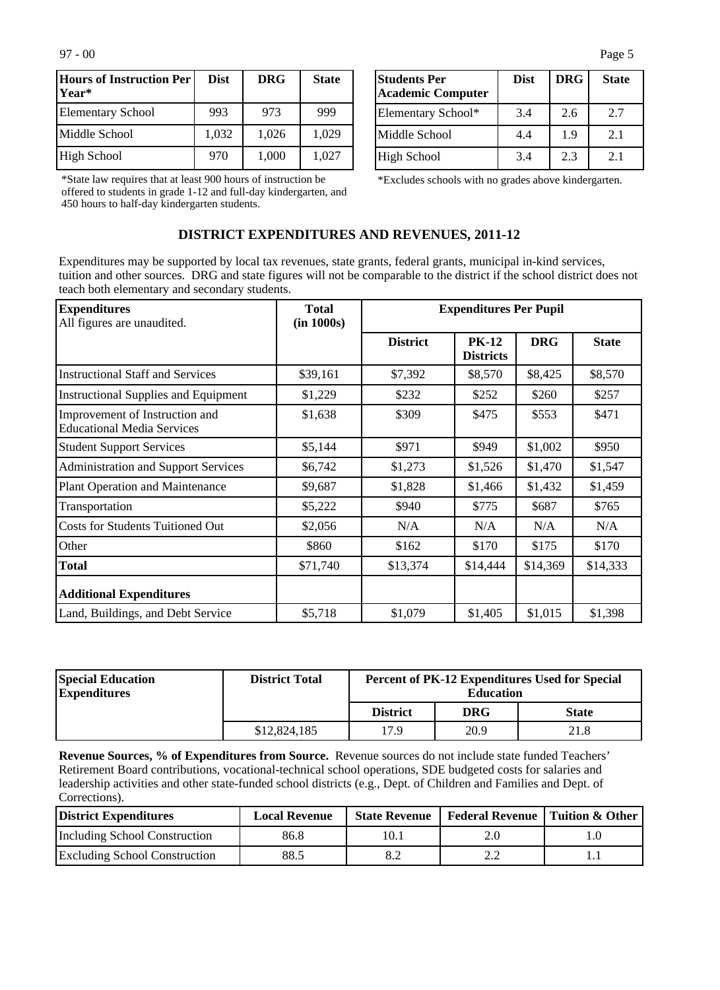| Hours of Instruction Per <br> Year* | <b>Dist</b> | <b>DRG</b> | <b>State</b> |
|-------------------------------------|-------------|------------|--------------|
| <b>Elementary School</b>            | 993         | 973        | 999          |
| Middle School                       | 1,032       | 1,026      | 1,029        |
| High School                         | 970         | 1,000      | 1,027        |

\*State law requires that at least 900 hours of instruction be offered to students in grade 1-12 and full-day kindergarten, and 450 hours to half-day kindergarten students.

| <b>Students Per</b><br><b>Academic Computer</b> | <b>Dist</b> | <b>DRG</b> | <b>State</b> |
|-------------------------------------------------|-------------|------------|--------------|
| Elementary School*                              | 3.4         | 2.6        | 2.7          |
| Middle School                                   | 4.4         | 1.9        | 2.1          |
| High School                                     | 3.4         | 2.3        | 2.1          |

\*Excludes schools with no grades above kindergarten.

### **DISTRICT EXPENDITURES AND REVENUES, 2011-12**

Expenditures may be supported by local tax revenues, state grants, federal grants, municipal in-kind services, tuition and other sources. DRG and state figures will not be comparable to the district if the school district does not teach both elementary and secondary students.

| <b>Expenditures</b><br>All figures are unaudited.                   | <b>Total</b><br>(in 1000s) | <b>Expenditures Per Pupil</b> |                                  |            |              |
|---------------------------------------------------------------------|----------------------------|-------------------------------|----------------------------------|------------|--------------|
|                                                                     |                            | <b>District</b>               | <b>PK-12</b><br><b>Districts</b> | <b>DRG</b> | <b>State</b> |
| <b>Instructional Staff and Services</b>                             | \$39,161                   | \$7,392                       | \$8,570                          | \$8,425    | \$8,570      |
| <b>Instructional Supplies and Equipment</b>                         | \$1,229                    | \$232                         | \$252                            | \$260      | \$257        |
| Improvement of Instruction and<br><b>Educational Media Services</b> | \$1,638                    | \$309                         | \$475                            | \$553      | \$471        |
| <b>Student Support Services</b>                                     | \$5,144                    | \$971                         | \$949                            | \$1,002    | \$950        |
| <b>Administration and Support Services</b>                          | \$6,742                    | \$1,273                       | \$1,526                          | \$1,470    | \$1,547      |
| Plant Operation and Maintenance                                     | \$9,687                    | \$1,828                       | \$1,466                          | \$1,432    | \$1,459      |
| Transportation                                                      | \$5,222                    | \$940                         | \$775                            | \$687      | \$765        |
| <b>Costs for Students Tuitioned Out</b>                             | \$2,056                    | N/A                           | N/A                              | N/A        | N/A          |
| Other                                                               | \$860                      | \$162                         | \$170                            | \$175      | \$170        |
| <b>Total</b>                                                        | \$71,740                   | \$13,374                      | \$14,444                         | \$14,369   | \$14,333     |
| <b>Additional Expenditures</b>                                      |                            |                               |                                  |            |              |
| Land, Buildings, and Debt Service                                   | \$5,718                    | \$1,079                       | \$1,405                          | \$1,015    | \$1,398      |

| <b>Special Education</b><br><b>Expenditures</b> | <b>District Total</b> | <b>Percent of PK-12 Expenditures Used for Special</b><br><b>Education</b> |            |              |
|-------------------------------------------------|-----------------------|---------------------------------------------------------------------------|------------|--------------|
|                                                 |                       | <b>District</b>                                                           | <b>DRG</b> | <b>State</b> |
|                                                 | \$12,824,185          | 17.9                                                                      | 20.9       | 21.8         |

**Revenue Sources, % of Expenditures from Source.** Revenue sources do not include state funded Teachers' Retirement Board contributions, vocational-technical school operations, SDE budgeted costs for salaries and leadership activities and other state-funded school districts (e.g., Dept. of Children and Families and Dept. of Corrections).

| District Expenditures                | <b>Local Revenue</b> |      | State Revenue   Federal Revenue   Tuition & Other |  |
|--------------------------------------|----------------------|------|---------------------------------------------------|--|
| Including School Construction        | 86.8                 | 10.1 |                                                   |  |
| <b>Excluding School Construction</b> | 88.5                 |      |                                                   |  |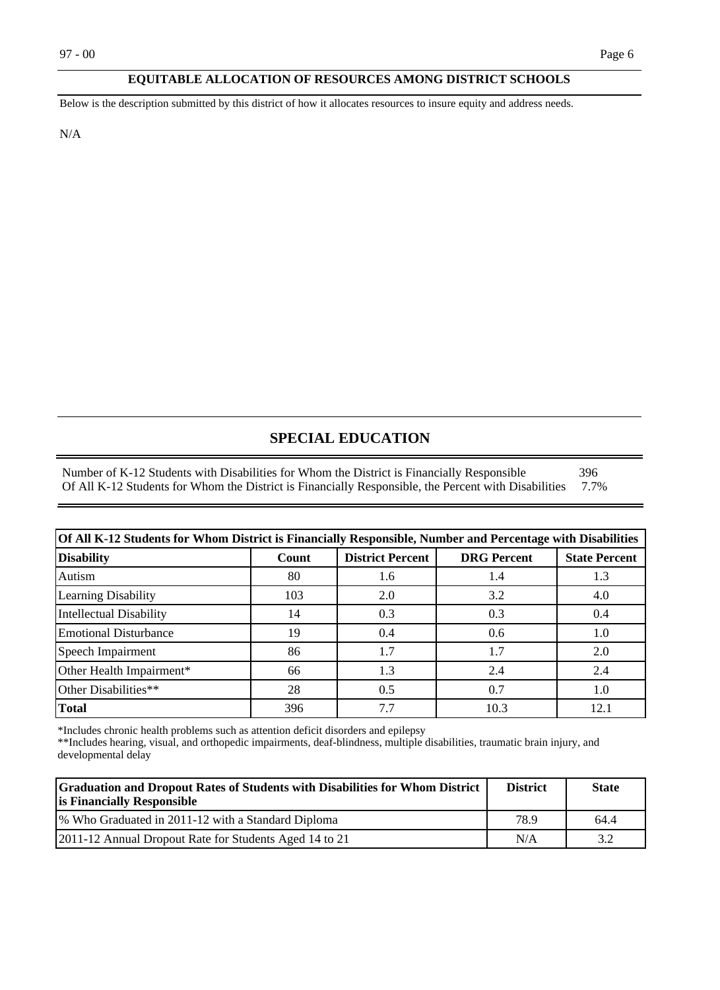#### **EQUITABLE ALLOCATION OF RESOURCES AMONG DISTRICT SCHOOLS**

Below is the description submitted by this district of how it allocates resources to insure equity and address needs.

N/A

#### **SPECIAL EDUCATION**

Number of K-12 Students with Disabilities for Whom the District is Financially Responsible 396<br>Of All K-12 Students for Whom the District is Financially Responsible, the Percent with Disabilities 7.7% Of All K-12 Students for Whom the District is Financially Responsible, the Percent with Disabilities

| Of All K-12 Students for Whom District is Financially Responsible, Number and Percentage with Disabilities |       |                         |                    |                      |  |
|------------------------------------------------------------------------------------------------------------|-------|-------------------------|--------------------|----------------------|--|
| <b>Disability</b>                                                                                          | Count | <b>District Percent</b> | <b>DRG</b> Percent | <b>State Percent</b> |  |
| Autism                                                                                                     | 80    | 1.6                     | 1.4                | 1.3                  |  |
| Learning Disability                                                                                        | 103   | 2.0                     | 3.2                | 4.0                  |  |
| Intellectual Disability                                                                                    | 14    | 0.3                     | 0.3                | 0.4                  |  |
| <b>Emotional Disturbance</b>                                                                               | 19    | 0.4                     | 0.6                | 1.0                  |  |
| Speech Impairment                                                                                          | 86    | 1.7                     | 1.7                | 2.0                  |  |
| Other Health Impairment*                                                                                   | 66    | 1.3                     | 2.4                | 2.4                  |  |
| Other Disabilities**                                                                                       | 28    | 0.5                     | 0.7                | 1.0                  |  |
| Total                                                                                                      | 396   | 7.7                     | 10.3               |                      |  |

\*Includes chronic health problems such as attention deficit disorders and epilepsy

\*\*Includes hearing, visual, and orthopedic impairments, deaf-blindness, multiple disabilities, traumatic brain injury, and developmental delay

| <b>Graduation and Dropout Rates of Students with Disabilities for Whom District</b><br><b>is Financially Responsible</b> | <b>District</b> | <b>State</b> |
|--------------------------------------------------------------------------------------------------------------------------|-----------------|--------------|
| 1% Who Graduated in 2011-12 with a Standard Diploma                                                                      | 78.9            | 64.4         |
| [2011-12 Annual Dropout Rate for Students Aged 14 to 21]                                                                 | N/A             |              |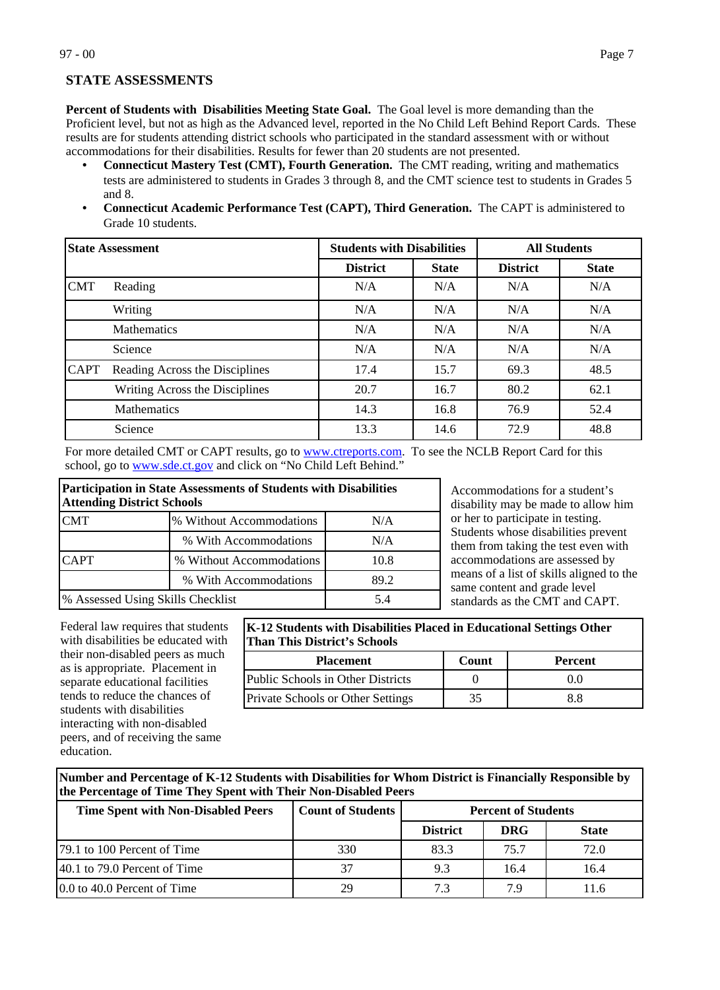**Percent of Students with Disabilities Meeting State Goal.** The Goal level is more demanding than the

Proficient level, but not as high as the Advanced level, reported in the No Child Left Behind Report Cards. These results are for students attending district schools who participated in the standard assessment with or without accommodations for their disabilities. Results for fewer than 20 students are not presented.

- **Connecticut Mastery Test (CMT), Fourth Generation.** The CMT reading, writing and mathematics tests are administered to students in Grades 3 through 8, and the CMT science test to students in Grades 5 and 8.
- **Connecticut Academic Performance Test (CAPT), Third Generation.** The CAPT is administered to Grade 10 students.

| <b>State Assessment</b> |                                |                 | <b>Students with Disabilities</b> |                 | <b>All Students</b> |
|-------------------------|--------------------------------|-----------------|-----------------------------------|-----------------|---------------------|
|                         |                                | <b>District</b> | <b>State</b>                      | <b>District</b> | <b>State</b>        |
| <b>CMT</b>              | Reading                        | N/A             | N/A                               | N/A             | N/A                 |
|                         | Writing                        | N/A             | N/A                               | N/A             | N/A                 |
|                         | <b>Mathematics</b>             | N/A             | N/A                               | N/A             | N/A                 |
|                         | Science                        | N/A             | N/A                               | N/A             | N/A                 |
| <b>CAPT</b>             | Reading Across the Disciplines | 17.4            | 15.7                              | 69.3            | 48.5                |
|                         | Writing Across the Disciplines | 20.7            | 16.7                              | 80.2            | 62.1                |
|                         | Mathematics                    | 14.3            | 16.8                              | 76.9            | 52.4                |
|                         | Science                        | 13.3            | 14.6                              | 72.9            | 48.8                |

For more detailed CMT or CAPT results, go to [www.ctreports.com.](http://www.ctreports.com/) To see the NCLB Report Card for this school, go to [www.sde.ct.gov](http://www.sde.ct.gov/) and click on "No Child Left Behind."

| <b>Participation in State Assessments of Students with Disabilities</b><br><b>Attending District Schools</b> |                          |      |  |  |
|--------------------------------------------------------------------------------------------------------------|--------------------------|------|--|--|
| <b>CMT</b><br>% Without Accommodations<br>N/A                                                                |                          |      |  |  |
|                                                                                                              | % With Accommodations    | N/A  |  |  |
| <b>CAPT</b>                                                                                                  | % Without Accommodations | 10.8 |  |  |
| % With Accommodations<br>89.2                                                                                |                          |      |  |  |
| % Assessed Using Skills Checklist<br>5.4                                                                     |                          |      |  |  |

Accommodations for a student's disability may be made to allow him or her to participate in testing. Students whose disabilities prevent them from taking the test even with accommodations are assessed by means of a list of skills aligned to the same content and grade level standards as the CMT and CAPT.

Federal law requires that students with disabilities be educated with their non-disabled peers as much as is appropriate. Placement in separate educational facilities tends to reduce the chances of students with disabilities interacting with non-disabled peers, and of receiving the same education.

**K-12 Students with Disabilities Placed in Educational Settings Other Than This District's Schools**

| <b>Placement</b>                         | Count | <b>Percent</b> |
|------------------------------------------|-------|----------------|
| Public Schools in Other Districts        |       | 0.0            |
| <b>Private Schools or Other Settings</b> |       | 8.8            |

**Number and Percentage of K-12 Students with Disabilities for Whom District is Financially Responsible by the Percentage of Time They Spent with Their Non-Disabled Peers**

| <b>Time Spent with Non-Disabled Peers</b>        | <b>Count of Students</b> | <b>Percent of Students</b> |            |              |
|--------------------------------------------------|--------------------------|----------------------------|------------|--------------|
|                                                  |                          | <b>District</b>            | <b>DRG</b> | <b>State</b> |
| [79.1 to 100 Percent of Time]                    | 330                      | 83.3                       | 75.7       | 72.0         |
| $ 40.1 \text{ to } 79.0 \text{ Percent of Time}$ |                          | 9.3                        | 16.4       | 16.4         |
| 0.0 to 40.0 Percent of Time                      | 29                       | 7.3                        | 7.9        | 11.6         |

**STATE ASSESSMENTS**